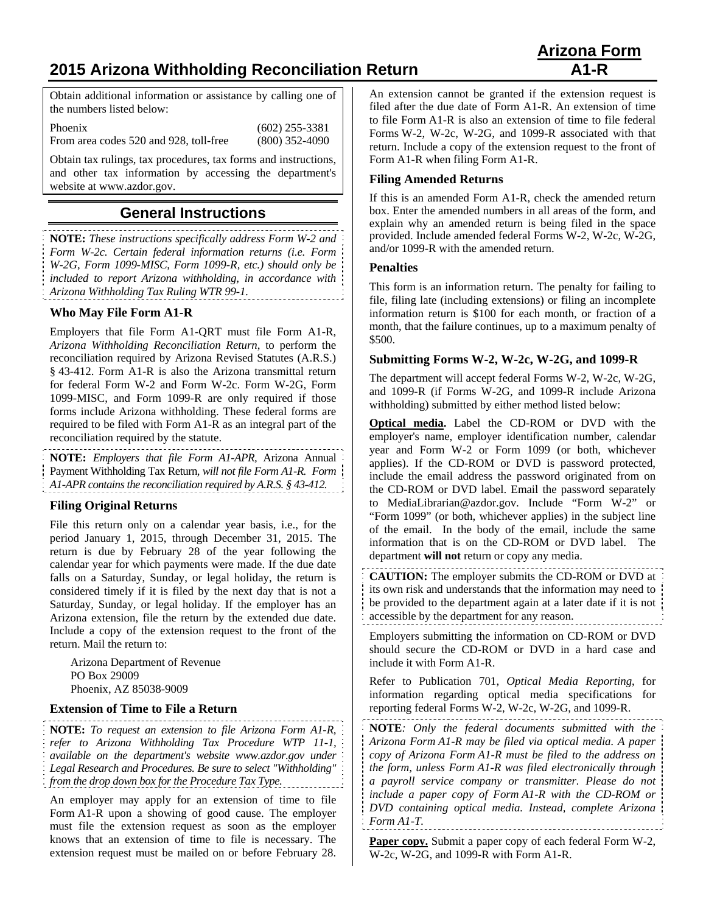# **2015 Arizona Withholding Reconciliation Return A1-R**

Obtain additional information or assistance by calling one of the numbers listed below:

Phoenix (602) 255-3381 From area codes 520 and 928, toll-free (800) 352-4090

Obtain tax rulings, tax procedures, tax forms and instructions, and other tax information by accessing the department's website at www.azdor.gov.

## **General Instructions**

**NOTE:** *These instructions specifically address Form W-2 and Form W-2c. Certain federal information returns (i.e. Form W-2G, Form 1099-MISC, Form 1099-R, etc.) should only be included to report Arizona withholding, in accordance with Arizona Withholding Tax Ruling WTR 99-1.*

### **Who May File Form A1-R**

Employers that file Form A1-QRT must file Form A1-R, *Arizona Withholding Reconciliation Return*, to perform the reconciliation required by Arizona Revised Statutes (A.R.S.) § 43-412. Form A1-R is also the Arizona transmittal return for federal Form W-2 and Form W-2c. Form W-2G, Form 1099-MISC, and Form 1099-R are only required if those forms include Arizona withholding. These federal forms are required to be filed with Form A1-R as an integral part of the reconciliation required by the statute.

**NOTE:** *Employers that file Form A1-APR,* Arizona Annual Payment Withholding Tax Return*, will not file Form A1-R. Form A1-APR contains the reconciliation required by A.R.S. § 43-412.*

### **Filing Original Returns**

File this return only on a calendar year basis, i.e., for the period January 1, 2015, through December 31, 2015. The return is due by February 28 of the year following the calendar year for which payments were made. If the due date falls on a Saturday, Sunday, or legal holiday, the return is considered timely if it is filed by the next day that is not a Saturday, Sunday, or legal holiday. If the employer has an Arizona extension, file the return by the extended due date. Include a copy of the extension request to the front of the return. Mail the return to:

Arizona Department of Revenue PO Box 29009 Phoenix, AZ 85038-9009

#### **Extension of Time to File a Return**

**NOTE:** *To request an extension to file Arizona Form A1-R, refer to Arizona Withholding Tax Procedure WTP 11-1, available on the department's website www.azdor.gov under Legal Research and Procedures. Be sure to select "Withholding" from the drop down box for the Procedure Tax Type.* 

An employer may apply for an extension of time to file Form A1-R upon a showing of good cause. The employer must file the extension request as soon as the employer knows that an extension of time to file is necessary. The extension request must be mailed on or before February 28.

An extension cannot be granted if the extension request is filed after the due date of Form A1-R. An extension of time to file Form A1-R is also an extension of time to file federal Forms W-2, W-2c, W-2G, and 1099-R associated with that return. Include a copy of the extension request to the front of Form A1-R when filing Form A1-R.

#### **Filing Amended Returns**

If this is an amended Form A1-R, check the amended return box. Enter the amended numbers in all areas of the form, and explain why an amended return is being filed in the space provided. Include amended federal Forms W-2, W-2c, W-2G, and/or 1099-R with the amended return.

#### **Penalties**

This form is an information return. The penalty for failing to file, filing late (including extensions) or filing an incomplete information return is \$100 for each month, or fraction of a month, that the failure continues, up to a maximum penalty of \$500.

#### **Submitting Forms W-2, W-2c, W-2G, and 1099-R**

The department will accept federal Forms W-2, W-2c, W-2G, and 1099-R (if Forms W-2G, and 1099-R include Arizona withholding) submitted by either method listed below:

**Optical media.** Label the CD-ROM or DVD with the employer's name, employer identification number, calendar year and Form W-2 or Form 1099 (or both, whichever applies). If the CD-ROM or DVD is password protected, include the email address the password originated from on the CD-ROM or DVD label. Email the password separately to MediaLibrarian@azdor.gov. Include "Form W-2" or "Form 1099" (or both, whichever applies) in the subject line of the email. In the body of the email, include the same information that is on the CD-ROM or DVD label. The department **will not** return or copy any media.

**CAUTION:** The employer submits the CD-ROM or DVD at its own risk and understands that the information may need to be provided to the department again at a later date if it is not accessible by the department for any reason.

Employers submitting the information on CD-ROM or DVD should secure the CD-ROM or DVD in a hard case and include it with Form A1-R.

Refer to Publication 701, *Optical Media Reporting*, for information regarding optical media specifications for reporting federal Forms W-2, W-2c, W-2G, and 1099-R.

**NOTE***: Only the federal documents submitted with the Arizona Form A1-R may be filed via optical media. A paper copy of Arizona Form A1-R must be filed to the address on the form, unless Form A1-R was filed electronically through a payroll service company or transmitter. Please do not include a paper copy of Form A1-R with the CD-ROM or DVD containing optical media. Instead, complete Arizona Form A1*-*T.*  

**Paper copy.** Submit a paper copy of each federal Form W-2, W-2c, W-2G, and 1099-R with Form A1-R.